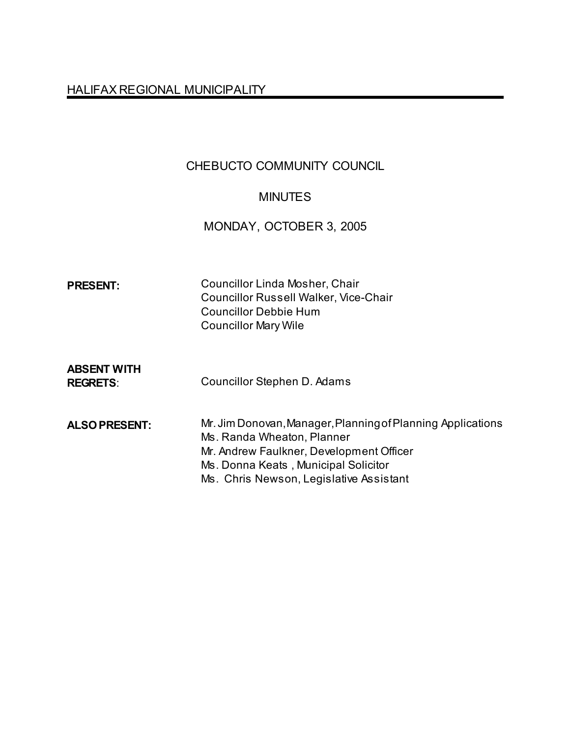# HALIFAX REGIONAL MUNICIPALITY

## CHEBUCTO COMMUNITY COUNCIL

## MINUTES

MONDAY, OCTOBER 3, 2005

| <b>PRESENT:</b>                       | <b>Councillor Linda Mosher, Chair</b><br><b>Councillor Russell Walker, Vice-Chair</b><br><b>Councillor Debbie Hum</b><br><b>Councillor Mary Wile</b>                                                                     |
|---------------------------------------|--------------------------------------------------------------------------------------------------------------------------------------------------------------------------------------------------------------------------|
| <b>ABSENT WITH</b><br><b>REGRETS:</b> | Councillor Stephen D. Adams                                                                                                                                                                                              |
| <b>ALSO PRESENT:</b>                  | Mr. Jim Donovan, Manager, Planning of Planning Applications<br>Ms. Randa Wheaton, Planner<br>Mr. Andrew Faulkner, Development Officer<br>Ms. Donna Keats, Municipal Solicitor<br>Ms. Chris Newson, Legislative Assistant |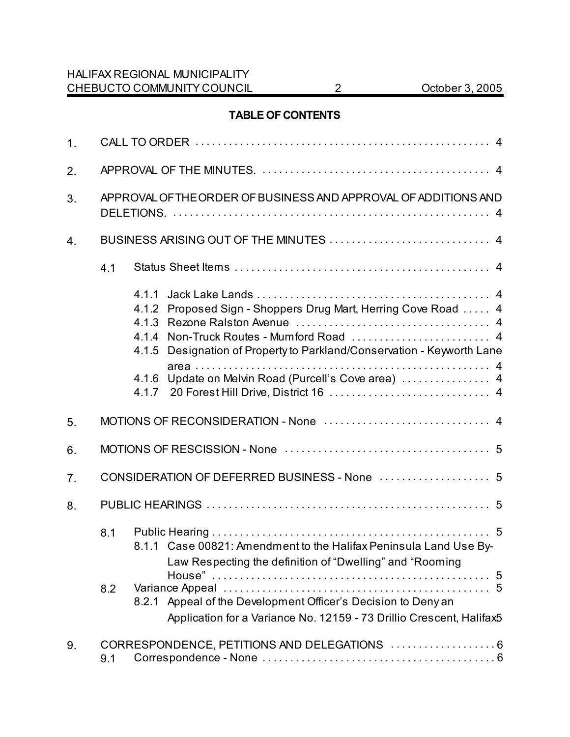### **TABLE OF CONTENTS**

| 1 <sub>1</sub> |            |                                                                                                                                                                                                                                                                        |  |
|----------------|------------|------------------------------------------------------------------------------------------------------------------------------------------------------------------------------------------------------------------------------------------------------------------------|--|
| 2.             |            |                                                                                                                                                                                                                                                                        |  |
| 3.             |            | APPROVAL OF THE ORDER OF BUSINESS AND APPROVAL OF ADDITIONS AND                                                                                                                                                                                                        |  |
| 4.             |            |                                                                                                                                                                                                                                                                        |  |
|                | 4.1        |                                                                                                                                                                                                                                                                        |  |
|                |            | 4.1.1<br>4.1.2 Proposed Sign - Shoppers Drug Mart, Herring Cove Road  4<br>4.1.3<br>Designation of Property to Parkland/Conservation - Keyworth Lane<br>4.1.5<br>4.1.6 Update on Melvin Road (Purcell's Cove area)  4                                                  |  |
| 5.             |            |                                                                                                                                                                                                                                                                        |  |
| 6.             |            |                                                                                                                                                                                                                                                                        |  |
| 7.             |            | CONSIDERATION OF DEFERRED BUSINESS - None  5                                                                                                                                                                                                                           |  |
| 8.             |            |                                                                                                                                                                                                                                                                        |  |
|                | 8.1<br>8.2 | 8.1.1 Case 00821: Amendment to the Halifax Peninsula Land Use By-<br>Law Respecting the definition of "Dwelling" and "Rooming<br>8.2.1 Appeal of the Development Officer's Decision to Deny an<br>Application for a Variance No. 12159 - 73 Drillio Crescent, Halifax5 |  |
| 9.             | 9.1        | CORRESPONDENCE, PETITIONS AND DELEGATIONS  6                                                                                                                                                                                                                           |  |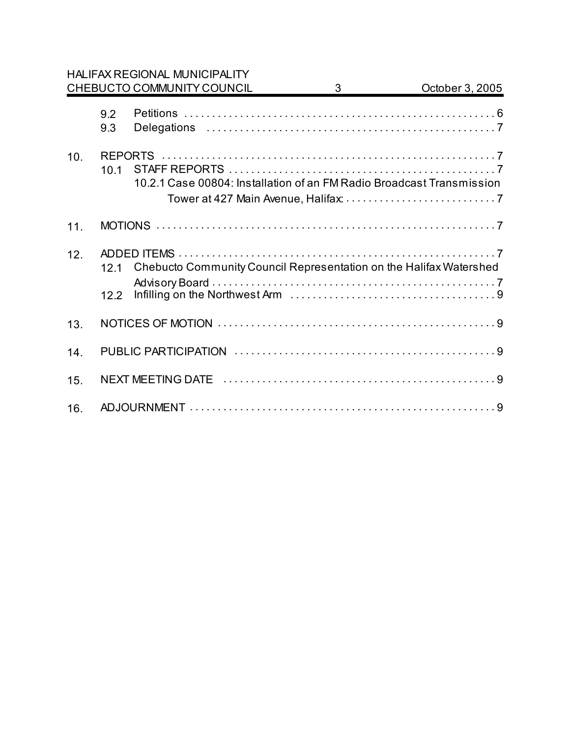### HALIFAX REGIONAL MUNICIPALITY CHEBUCTO COMMUNITY COUNCIL 3 CHEBUCTO COMMUNITY COUNCIL 3

|     | 9.2<br>9.3      |                                                                       |  |
|-----|-----------------|-----------------------------------------------------------------------|--|
| 10. | 10 <sub>1</sub> | 10.2.1 Case 00804: Installation of an FM Radio Broadcast Transmission |  |
| 11. |                 |                                                                       |  |
| 12. | 121<br>122      | Chebucto Community Council Representation on the Halifax Watershed    |  |
| 13. |                 |                                                                       |  |
| 14. |                 |                                                                       |  |
| 15. |                 |                                                                       |  |
| 16. |                 |                                                                       |  |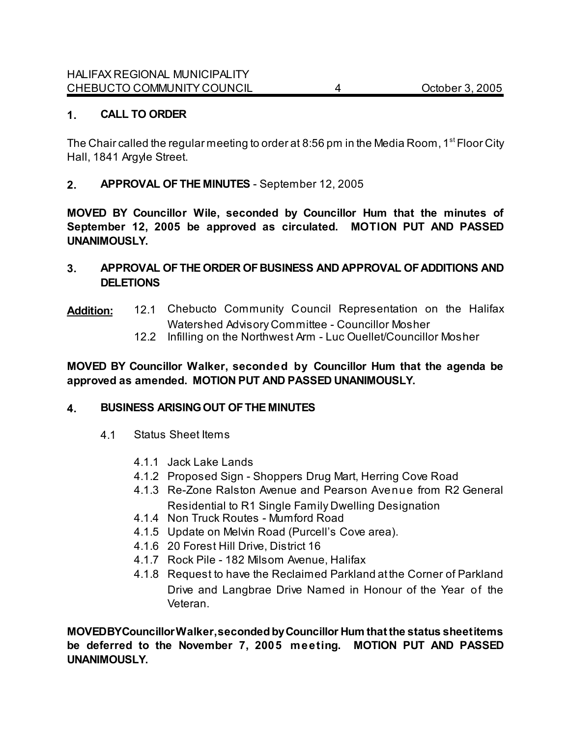### **1. CALL TO ORDER**

The Chair called the regular meeting to order at 8:56 pm in the Media Room, 1<sup>st</sup> Floor City Hall, 1841 Argyle Street.

**2. APPROVAL OF THE MINUTES** - September 12, 2005

**MOVED BY Councillor Wile, seconded by Councillor Hum that the minutes of September 12, 2005 be approved as circulated. MOTION PUT AND PASSED UNANIMOUSLY.** 

**3. APPROVAL OF THE ORDER OF BUSINESS AND APPROVAL OF ADDITIONS AND DELETIONS**

## **Addition:** 12.1 Chebucto Community Council Representation on the Halifax Watershed Advisory Committee - Councillor Mosher

12.2 Infilling on the Northwest Arm - Luc Ouellet/Councillor Mosher

**MOVED BY Councillor Walker, seconded by Councillor Hum that the agenda be approved as amended. MOTION PUT AND PASSED UNANIMOUSLY.**

#### **4. BUSINESS ARISING OUT OF THE MINUTES**

- 4.1 Status Sheet Items
	- 4.1.1 Jack Lake Lands
	- 4.1.2 Proposed Sign Shoppers Drug Mart, Herring Cove Road
	- 4.1.3 Re-Zone Ralston Avenue and Pearson Avenue from R2 General Residential to R1 Single Family Dwelling Designation
	- 4.1.4 Non Truck Routes Mumford Road
	- 4.1.5 Update on Melvin Road (Purcell's Cove area).
	- 4.1.6 20 Forest Hill Drive, District 16
	- 4.1.7 Rock Pile 182 Milsom Avenue, Halifax
	- 4.1.8 Request to have the Reclaimed Parkland at the Corner of Parkland Drive and Langbrae Drive Named in Honour of the Year of the Veteran.

**MOVED BY Councillor Walker, seconded by Councillor Hum that the status sheet items be deferred to the November 7, 2005 meeting. MOTION PUT AND PASSED UNANIMOUSLY.**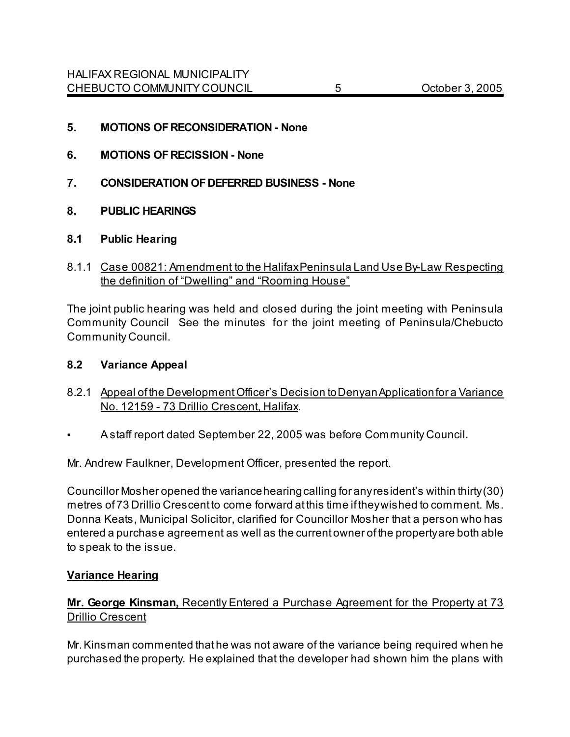- **5. MOTIONS OF RECONSIDERATION None**
- **6. MOTIONS OF RECISSION None**
- **7. CONSIDERATION OF DEFERRED BUSINESS None**
- **8. PUBLIC HEARINGS**
- **8.1 Public Hearing**
- 8.1.1 Case 00821: Amendment to the Halifax Peninsula Land Use By-Law Respecting the definition of "Dwelling" and "Rooming House"

The joint public hearing was held and closed during the joint meeting with Peninsula Community Council See the minutes for the joint meeting of Peninsula/Chebucto Community Council.

### **8.2 Variance Appeal**

- 8.2.1 Appeal of the Development Officer's Decision to Denyan Application for a Variance No. 12159 - 73 Drillio Crescent, Halifax.
- A staff report dated September 22, 2005 was before Community Council.

Mr. Andrew Faulkner, Development Officer, presented the report.

Councillor Mosher opened the variance hearing calling for any resident's within thirty (30) metres of 73 Drillio Crescent to come forward at this time if they wished to comment.Ms. Donna Keats, Municipal Solicitor, clarified for Councillor Mosher that a person who has entered a purchase agreement as well as the current owner of the property are both able to speak to the issue.

#### **Variance Hearing**

### **Mr. George Kinsman,** Recently Entered a Purchase Agreement for the Property at 73 Drillio Crescent

Mr. Kinsman commented that he was not aware of the variance being required when he purchased the property. He explained that the developer had shown him the plans with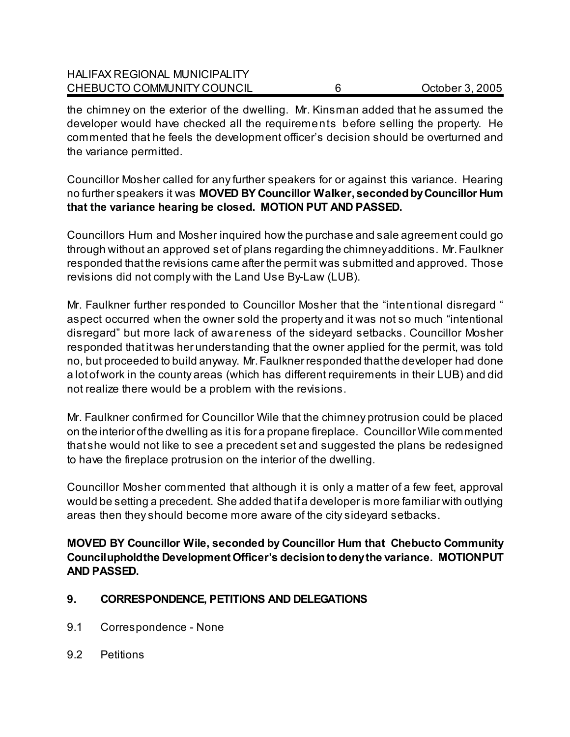| <b>HALIFAX REGIONAL MUNICIPALITY</b> |                 |
|--------------------------------------|-----------------|
| CHEBUCTO COMMUNITY COUNCIL           | October 3, 2005 |

the chimney on the exterior of the dwelling. Mr. Kinsman added that he assumed the developer would have checked all the requirements before selling the property. He commented that he feels the development officer's decision should be overturned and the variance permitted.

Councillor Mosher called for any further speakers for or against this variance. Hearing no further speakers it was **MOVED BY Councillor Walker, seconded by Councillor Hum that the variance hearing be closed. MOTION PUT AND PASSED.** 

Councillors Hum and Mosher inquired how the purchase and sale agreement could go through without an approved set of plans regarding the chimney additions. Mr. Faulkner responded that the revisions came after the permit was submitted and approved. Those revisions did not comply with the Land Use By-Law (LUB).

Mr. Faulkner further responded to Councillor Mosher that the "intentional disregard " aspect occurred when the owner sold the property and it was not so much "intentional disregard" but more lack of awareness of the sideyard setbacks. Councillor Mosher responded that it was her understanding that the owner applied for the permit, was told no, but proceeded to build anyway. Mr. Faulkner responded that the developer had done a lot of work in the county areas (which has different requirements in their LUB) and did not realize there would be a problem with the revisions.

Mr. Faulkner confirmed for Councillor Wile that the chimney protrusion could be placed on the interior of the dwelling as it is for a propane fireplace. Councillor Wile commented that she would not like to see a precedent set and suggested the plans be redesigned to have the fireplace protrusion on the interior of the dwelling.

Councillor Mosher commented that although it is only a matter of a few feet, approval would be setting a precedent. She added that if a developer is more familiar with outlying areas then they should become more aware of the city sideyard setbacks.

**MOVED BY Councillor Wile, seconded by Councillor Hum that Chebucto Community Council uphold the Development Officer's decision to deny the variance. MOTION PUT AND PASSED.** 

### **9. CORRESPONDENCE, PETITIONS AND DELEGATIONS**

- 9.1 Correspondence None
- 9.2 Petitions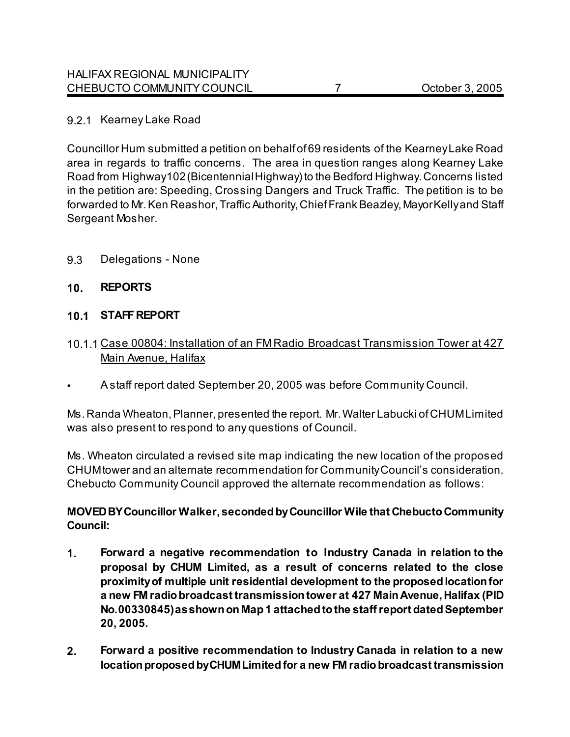### 9.2.1 Kearney Lake Road

Councillor Hum submitted a petition on behalf of 69 residents of the Kearney Lake Road area in regards to traffic concerns. The area in question ranges along Kearney Lake Road from Highway 102 (Bicentennial Highway) to the Bedford Highway. Concerns listed in the petition are: Speeding, Crossing Dangers and Truck Traffic. The petition is to be forwarded to Mr. Ken Reashor, Traffic Authority, Chief Frank Beazley, Mayor Kelly and Staff Sergeant Mosher.

9.3 Delegations - None

### **10. REPORTS**

#### **10.1 STAFF REPORT**

- 10.1.1 Case 00804: Installation of an FM Radio Broadcast Transmission Tower at 427 Main Avenue, Halifax
- A staff report dated September 20, 2005 was before Community Council.

Ms. Randa Wheaton, Planner, presented the report. Mr. Walter Labucki of CHUM Limited was also present to respond to any questions of Council.

Ms. Wheaton circulated a revised site map indicating the new location of the proposed CHUM tower and an alternate recommendation for Community Council's consideration. Chebucto Community Council approved the alternate recommendation as follows:

### **MOVED BY Councillor Walker, seconded by Councillor Wile that Chebucto Community Council:**

- **1. Forward a negative recommendation to Industry Canada in relation to the proposal by CHUM Limited, as a result of concerns related to the close proximity of multiple unit residential development to the proposed location for a new FM radio broadcast transmission tower at 427 Main Avenue, Halifax (PID No. 00330845) as shown on Map 1 attached to the staff report dated September 20, 2005.**
- **2. Forward a positive recommendation to Industry Canada in relation to a new location proposed by CHUM Limited for a new FM radio broadcast transmission**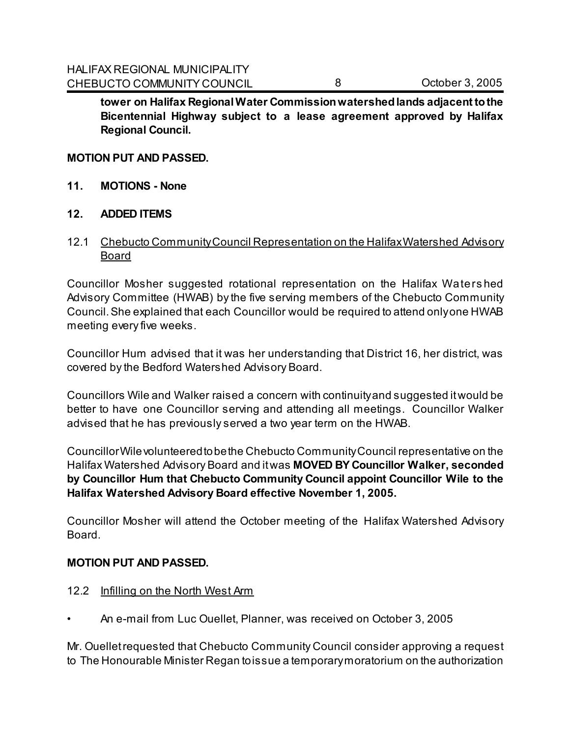**tower on Halifax Regional Water Commission watershed lands adjacent to the Bicentennial Highway subject to a lease agreement approved by Halifax Regional Council.** 

#### **MOTION PUT AND PASSED.**

- **11. MOTIONS None**
- **12. ADDED ITEMS**
- 12.1 Chebucto Community Council Representation on the Halifax Watershed Advisory **Board**

Councillor Mosher suggested rotational representation on the Halifax Waters hed Advisory Committee (HWAB) by the five serving members of the Chebucto Community Council. She explained that each Councillor would be required to attend only one HWAB meeting every five weeks.

Councillor Hum advised that it was her understanding that District 16, her district, was covered by the Bedford Watershed Advisory Board.

Councillors Wile and Walker raised a concern with continuity and suggested it would be better to have one Councillor serving and attending all meetings. Councillor Walker advised that he has previously served a two year term on the HWAB.

Councillor Wile volunteered to be the Chebucto Community Council representative on the Halifax Watershed Advisory Board and it was **MOVED BY Councillor Walker, seconded by Councillor Hum that Chebucto Community Council appoint Councillor Wile to the Halifax Watershed Advisory Board effective November 1, 2005.** 

Councillor Mosher will attend the October meeting of the Halifax Watershed Advisory Board.

#### **MOTION PUT AND PASSED.**

#### 12.2 Infilling on the North West Arm

• An e-mail from Luc Ouellet, Planner, was received on October 3, 2005

Mr. Ouellet requested that Chebucto Community Council consider approving a request to The Honourable Minister Regan to issue a temporary moratorium on the authorization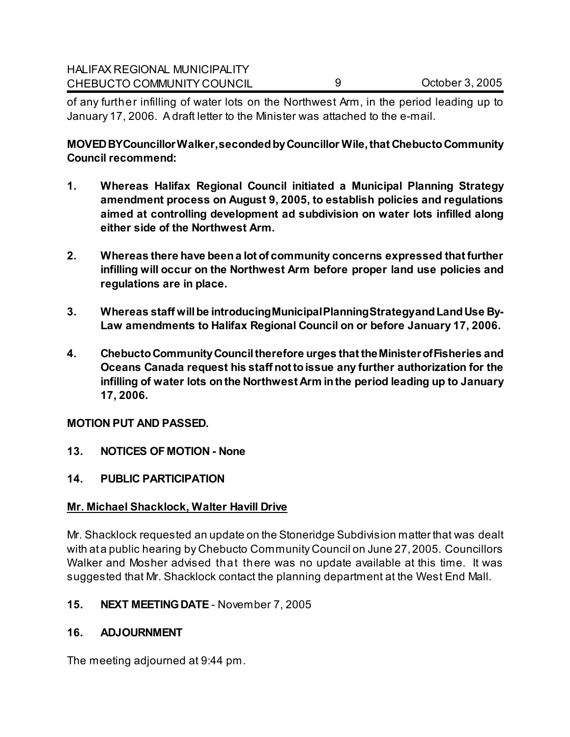of any further infilling of water lots on the Northwest Arm, in the period leading up to January 17, 2006. A draft letter to the Minister was attached to the e-mail.

**MOVED BY Councillor Walker, seconded by Councillor Wile, that Chebucto Community Council recommend:**

- **1. Whereas Halifax Regional Council initiated a Municipal Planning Strategy amendment process on August 9, 2005, to establish policies and regulations aimed at controlling development ad subdivision on water lots infilled along either side of the Northwest Arm.**
- **2. Whereas there have been a lot of community concerns expressed that further infilling will occur on the Northwest Arm before proper land use policies and regulations are in place.**
- **3. Whereas staff will be introducing Municipal Planning Strategy and Land Use By-Law amendments to Halifax Regional Council on or before January 17, 2006.**
- **4. Chebucto Community Council therefore urges that the Minister of Fisheries and Oceans Canada request his staff not to issue any further authorization for the infilling of water lots on the Northwest Arm in the period leading up to January 17, 2006.**

### **MOTION PUT AND PASSED.**

- **13. NOTICES OF MOTION None**
- **14. PUBLIC PARTICIPATION**

### **Mr. Michael Shacklock, Walter Havill Drive**

Mr. Shacklock requested an update on the Stoneridge Subdivision matter that was dealt with at a public hearing by Chebucto Community Council on June 27, 2005. Councillors Walker and Mosher advised that there was no update available at this time. It was suggested that Mr. Shacklock contact the planning department at the West End Mall.

### **15. NEXT MEETING DATE** - November 7, 2005

### **16. ADJOURNMENT**

The meeting adjourned at 9:44 pm.